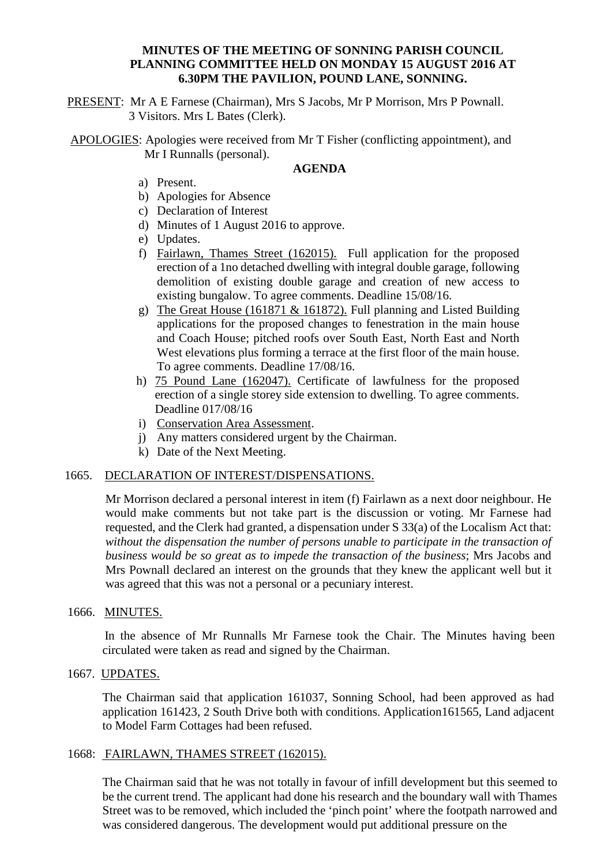## **MINUTES OF THE MEETING OF SONNING PARISH COUNCIL PLANNING COMMITTEE HELD ON MONDAY 15 AUGUST 2016 AT 6.30PM THE PAVILION, POUND LANE, SONNING.**

PRESENT: Mr A E Farnese (Chairman), Mrs S Jacobs, Mr P Morrison, Mrs P Pownall. 3 Visitors. Mrs L Bates (Clerk).

APOLOGIES: Apologies were received from Mr T Fisher (conflicting appointment), and Mr I Runnalls (personal).

### **AGENDA**

- a) Present.
- b) Apologies for Absence
- c) Declaration of Interest
- d) Minutes of 1 August 2016 to approve.
- e) Updates.
- f) Fairlawn, Thames Street (162015). Full application for the proposed erection of a 1no detached dwelling with integral double garage, following demolition of existing double garage and creation of new access to existing bungalow. To agree comments. Deadline 15/08/16.
- g) The Great House (161871 & 161872). Full planning and Listed Building applications for the proposed changes to fenestration in the main house and Coach House; pitched roofs over South East, North East and North West elevations plus forming a terrace at the first floor of the main house. To agree comments. Deadline 17/08/16.
- h) 75 Pound Lane (162047). Certificate of lawfulness for the proposed erection of a single storey side extension to dwelling. To agree comments. Deadline 017/08/16
- i) Conservation Area Assessment.
- j) Any matters considered urgent by the Chairman.
- k) Date of the Next Meeting.

### 1665. DECLARATION OF INTEREST/DISPENSATIONS.

Mr Morrison declared a personal interest in item (f) Fairlawn as a next door neighbour. He would make comments but not take part is the discussion or voting. Mr Farnese had requested, and the Clerk had granted, a dispensation under S 33(a) of the Localism Act that: *without the dispensation the number of persons unable to participate in the transaction of business would be so great as to impede the transaction of the business*; Mrs Jacobs and Mrs Pownall declared an interest on the grounds that they knew the applicant well but it was agreed that this was not a personal or a pecuniary interest.

#### 1666. MINUTES.

In the absence of Mr Runnalls Mr Farnese took the Chair. The Minutes having been circulated were taken as read and signed by the Chairman.

# 1667. UPDATES.

The Chairman said that application 161037, Sonning School, had been approved as had application 161423, 2 South Drive both with conditions. Application161565, Land adjacent to Model Farm Cottages had been refused.

### 1668: FAIRLAWN, THAMES STREET (162015).

The Chairman said that he was not totally in favour of infill development but this seemed to be the current trend. The applicant had done his research and the boundary wall with Thames Street was to be removed, which included the 'pinch point' where the footpath narrowed and was considered dangerous. The development would put additional pressure on the